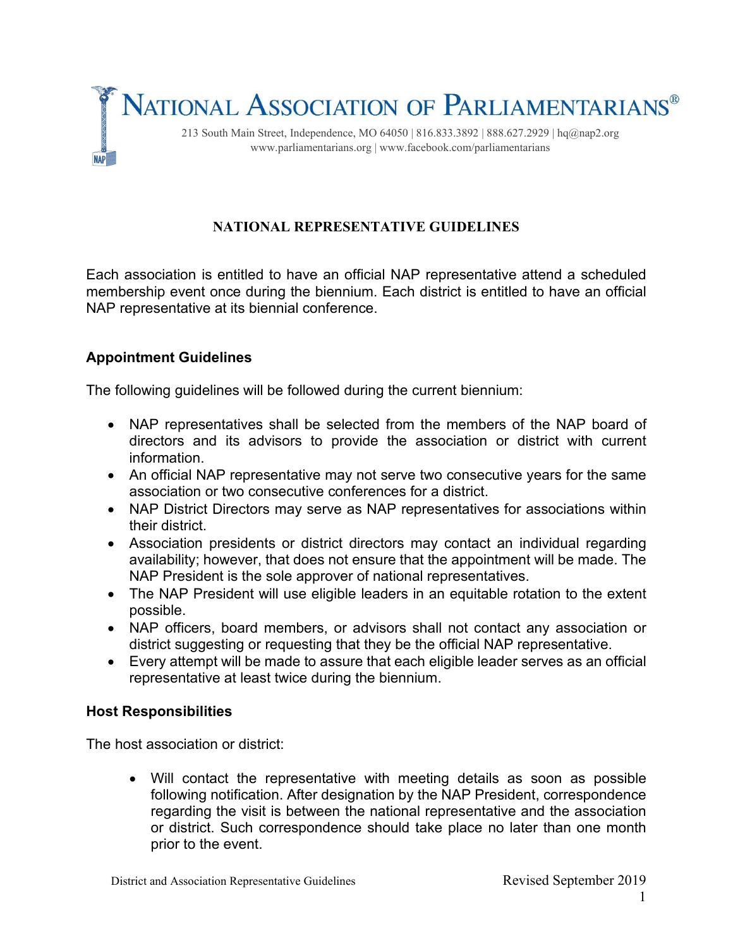

# **NATIONAL REPRESENTATIVE GUIDELINES**

Each association is entitled to have an official NAP representative attend a scheduled membership event once during the biennium. Each district is entitled to have an official NAP representative at its biennial conference.

#### **Appointment Guidelines**

The following guidelines will be followed during the current biennium:

- NAP representatives shall be selected from the members of the NAP board of directors and its advisors to provide the association or district with current information.
- An official NAP representative may not serve two consecutive years for the same association or two consecutive conferences for a district.
- NAP District Directors may serve as NAP representatives for associations within their district.
- Association presidents or district directors may contact an individual regarding availability; however, that does not ensure that the appointment will be made. The NAP President is the sole approver of national representatives.
- The NAP President will use eligible leaders in an equitable rotation to the extent possible.
- NAP officers, board members, or advisors shall not contact any association or district suggesting or requesting that they be the official NAP representative.
- Every attempt will be made to assure that each eligible leader serves as an official representative at least twice during the biennium.

#### **Host Responsibilities**

The host association or district:

• Will contact the representative with meeting details as soon as possible following notification. After designation by the NAP President, correspondence regarding the visit is between the national representative and the association or district. Such correspondence should take place no later than one month prior to the event.